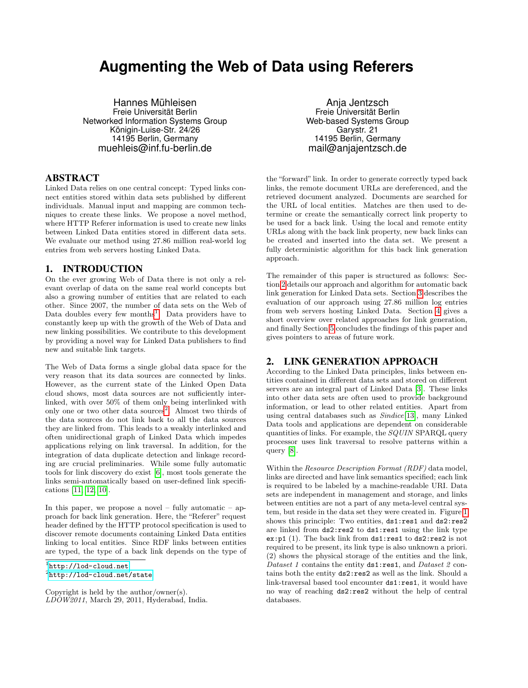# **Augmenting the Web of Data using Referers**

Hannes Mühleisen Freie Universität Berlin Networked Information Systems Group Königin-Luise-Str. 24/26 14195 Berlin, Germany muehleis@inf.fu-berlin.de

### ABSTRACT

Linked Data relies on one central concept: Typed links connect entities stored within data sets published by different individuals. Manual input and mapping are common techniques to create these links. We propose a novel method, where HTTP Referer information is used to create new links between Linked Data entities stored in different data sets. We evaluate our method using 27.86 million real-world log entries from web servers hosting Linked Data.

### 1. INTRODUCTION

On the ever growing Web of Data there is not only a relevant overlap of data on the same real world concepts but also a growing number of entities that are related to each other. Since 2007, the number of data sets on the Web of Data doubles every few months<sup>[1](#page-0-0)</sup>. Data providers have to constantly keep up with the growth of the Web of Data and new linking possibilities. We contribute to this development by providing a novel way for Linked Data publishers to find new and suitable link targets.

The Web of Data forms a single global data space for the very reason that its data sources are connected by links. However, as the current state of the Linked Open Data cloud shows, most data sources are not sufficiently interlinked, with over 50% of them only being interlinked with only one or two other data sources<sup>[2](#page-0-1)</sup>. Almost two thirds of the data sources do not link back to all the data sources they are linked from. This leads to a weakly interlinked and often unidirectional graph of Linked Data which impedes applications relying on link traversal. In addition, for the integration of data duplicate detection and linkage recording are crucial preliminaries. While some fully automatic tools for link discovery do exist [\[6\]](#page-4-0), most tools generate the links semi-automatically based on user-defined link specifications [\[11,](#page-4-1) [12,](#page-4-2) [10\]](#page-4-3).

In this paper, we propose a novel – fully automatic – approach for back link generation. Here, the "Referer" request header defined by the HTTP protocol specification is used to discover remote documents containing Linked Data entities linking to local entities. Since RDF links between entities are typed, the type of a back link depends on the type of

<span id="page-0-1"></span> $^{2}$ <http://lod-cloud.net/state>

Copyright is held by the author/owner(s). LDOW2011, March 29, 2011, Hyderabad, India.

Anja Jentzsch Freie Universität Berlin Web-based Systems Group Garystr. 21 14195 Berlin, Germany mail@anjajentzsch.de

the "forward" link. In order to generate correctly typed back links, the remote document URLs are dereferenced, and the retrieved document analyzed. Documents are searched for the URL of local entities. Matches are then used to determine or create the semantically correct link property to be used for a back link. Using the local and remote entity URLs along with the back link property, new back links can be created and inserted into the data set. We present a fully deterministic algorithm for this back link generation approach.

The remainder of this paper is structured as follows: Section [2](#page-0-2) details our approach and algorithm for automatic back link generation for Linked Data sets. Section [3](#page-2-0) describes the evaluation of our approach using 27.86 million log entries from web servers hosting Linked Data. Section [4](#page-3-0) gives a short overview over related approaches for link generation, and finally Section [5](#page-4-4) concludes the findings of this paper and gives pointers to areas of future work.

### <span id="page-0-2"></span>2. LINK GENERATION APPROACH

According to the Linked Data principles, links between entities contained in different data sets and stored on different servers are an integral part of Linked Data [\[3\]](#page-4-5). These links into other data sets are often used to provide background information, or lead to other related entities. Apart from using central databases such as Sindice[\[13\]](#page-4-6), many Linked Data tools and applications are dependent on considerable quantities of links. For example, the SQUIN SPARQL query processor uses link traversal to resolve patterns within a query [\[8\]](#page-4-7).

Within the Resource Description Format (RDF) data model, links are directed and have link semantics specified; each link is required to be labeled by a machine-readable URI. Data sets are independent in management and storage, and links between entities are not a part of any meta-level central system, but reside in the data set they were created in. Figure [1](#page-1-0) shows this principle: Two entities,  $ds1:res1$  and  $ds2:res2$ are linked from ds2:res2 to ds1:res1 using the link type ex:p1 (1). The back link from ds1:res1 to ds2:res2 is not required to be present, its link type is also unknown a priori. (2) shows the physical storage of the entities and the link, Dataset 1 contains the entity  $ds1:res1$ , and Dataset 2 contains both the entity ds2:res2 as well as the link. Should a link-traversal based tool encounter ds1:res1, it would have no way of reaching ds2:res2 without the help of central databases.

<span id="page-0-0"></span><sup>1</sup> <http://lod-cloud.net>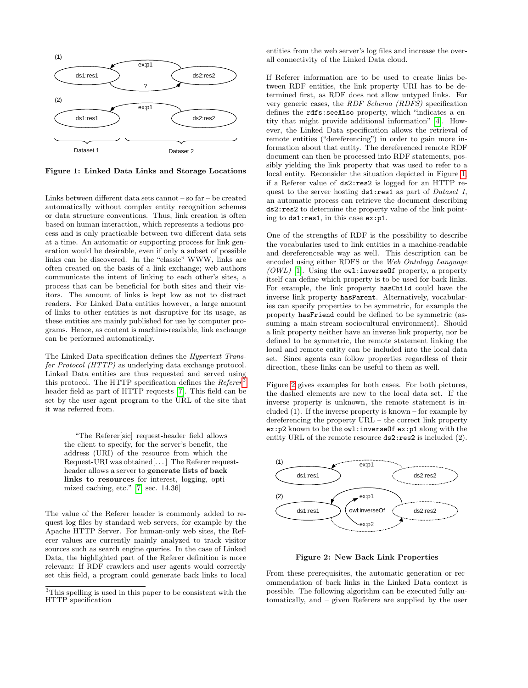

<span id="page-1-0"></span>Figure 1: Linked Data Links and Storage Locations

Links between different data sets cannot – so far – be created automatically without complex entity recognition schemes or data structure conventions. Thus, link creation is often based on human interaction, which represents a tedious process and is only practicable between two different data sets at a time. An automatic or supporting process for link generation would be desirable, even if only a subset of possible links can be discovered. In the "classic" WWW, links are often created on the basis of a link exchange; web authors communicate the intent of linking to each other's sites, a process that can be beneficial for both sites and their visitors. The amount of links is kept low as not to distract readers. For Linked Data entities however, a large amount of links to other entities is not disruptive for its usage, as these entities are mainly published for use by computer programs. Hence, as content is machine-readable, link exchange can be performed automatically.

The Linked Data specification defines the Hypertext Transfer Protocol (HTTP) as underlying data exchange protocol. Linked Data entities are thus requested and served using this protocol. The HTTP specification defines the  $Refer$ <sup>[3](#page-1-1)</sup> header field as part of HTTP requests [\[7\]](#page-4-8). This field can be set by the user agent program to the URL of the site that it was referred from.

"The Referer[sic] request-header field allows the client to specify, for the server's benefit, the address (URI) of the resource from which the Request-URI was obtained[. . . ] The Referer requestheader allows a server to generate lists of back links to resources for interest, logging, optimized caching, etc." [\[7,](#page-4-8) sec. 14.36]

The value of the Referer header is commonly added to request log files by standard web servers, for example by the Apache HTTP Server. For human-only web sites, the Referer values are currently mainly analyzed to track visitor sources such as search engine queries. In the case of Linked Data, the highlighted part of the Referer definition is more relevant: If RDF crawlers and user agents would correctly set this field, a program could generate back links to local entities from the web server's log files and increase the overall connectivity of the Linked Data cloud.

If Referer information are to be used to create links between RDF entities, the link property URI has to be determined first, as RDF does not allow untyped links. For very generic cases, the RDF Schema (RDFS) specification defines the rdfs:seeAlso property, which "indicates a entity that might provide additional information" [\[4\]](#page-4-9). However, the Linked Data specification allows the retrieval of remote entities ("dereferencing") in order to gain more information about that entity. The dereferenced remote RDF document can then be processed into RDF statements, possibly yielding the link property that was used to refer to a local entity. Reconsider the situation depicted in Figure [1,](#page-1-0) if a Referer value of ds2:res2 is logged for an HTTP request to the server hosting ds1:res1 as part of *Dataset 1*, an automatic process can retrieve the document describing ds2:res2 to determine the property value of the link pointing to ds1:res1, in this case ex:p1.

One of the strengths of RDF is the possibility to describe the vocabularies used to link entities in a machine-readable and dereferenceable way as well. This description can be encoded using either RDFS or the Web Ontology Language  $(OWL)$  [\[1\]](#page-4-10). Using the owl: inversent property, a property itself can define which property is to be used for back links. For example, the link property hasChild could have the inverse link property hasParent. Alternatively, vocabularies can specify properties to be symmetric, for example the property hasFriend could be defined to be symmetric (assuming a main-stream sociocultural environment). Should a link property neither have an inverse link property, nor be defined to be symmetric, the remote statement linking the local and remote entity can be included into the local data set. Since agents can follow properties regardless of their direction, these links can be useful to them as well.

Figure [2](#page-1-2) gives examples for both cases. For both pictures, the dashed elements are new to the local data set. If the inverse property is unknown, the remote statement is included (1). If the inverse property is known – for example by dereferencing the property URL – the correct link property ex:p2 known to be the owl:inverseOf ex:p1 along with the entity URL of the remote resource ds2:res2 is included (2).



<span id="page-1-2"></span>Figure 2: New Back Link Properties

From these prerequisites, the automatic generation or recommendation of back links in the Linked Data context is possible. The following algorithm can be executed fully automatically, and – given Referers are supplied by the user

<span id="page-1-1"></span><sup>3</sup>This spelling is used in this paper to be consistent with the HTTP specification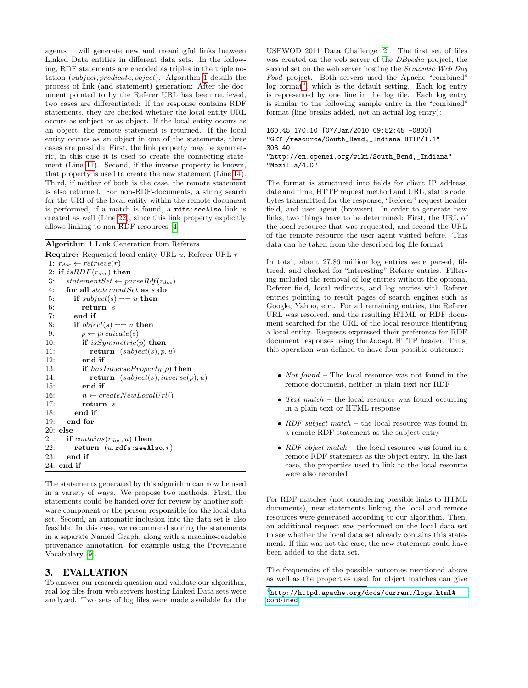agents – will generate new and meaningful links between Linked Data entities in different data sets. In the following, RDF statements are encoded as triples in the triple notation (subject, predicate, object). Algorithm [1](#page-2-1) details the process of link (and statement) generation: After the document pointed to by the Referer URL has been retrieved, two cases are differentiated: If the response contains RDF statements, they are checked whether the local entity URL occurs as subject or as object. If the local entity occurs as an object, the remote statement is returned. If the local entity occurs as an object in one of the statements, three cases are possible: First, the link property may be symmetric, in this case it is used to create the connecting statement (Line [11\)](#page-2-2). Second, if the inverse property is known, that property is used to create the new statement (Line [14\)](#page-2-3). Third, if neither of both is the case, the remote statement is also returned. For non-RDF-documents, a string search for the URI of the local entity within the remote document is performed, if a match is found, a rdfs:seeAlso link is created as well (Line [22\)](#page-2-4), since this link property explicitly allows linking to non-RDF resources [\[4\]](#page-4-9).

<span id="page-2-1"></span>Algorithm 1 Link Generation from Referers

<span id="page-2-2"></span>**Require:** Requested local entity URL  $u$ , Referer URL  $r$ 1:  $r_{doc} \leftarrow retrieve(r)$ 2: if  $isRDF(r_{doc})$  then 3: statementSet  $\leftarrow parseRdf(r_{doc})$ <br>4: **for all** statementSet **as** s **do** for all statementSet as  $s$  do 5: if  $subject(s) == u$  then 6: return s 7: end if 8: if  $object(s) == u$  then 9:  $p \leftarrow predicate(s)$ 10: **if** is Symmetric(p) **then** 11:  $return (subject(s), p, u)$ 12: end if 13: if  $hasInverseProperty(p)$  then 14: **return**  $(subject(s), inverse(p), u)$ 15: end if 16:  $n \leftarrow createNewLocalUrl()$ 17: return s 18: end if 19: end for 20: else 21: if  $contains(r_{doc}, u)$  then<br>22: return  $(u, \text{rdfs:seed})$ 22: return  $(u, \text{rdfs:seeAlso}, r)$ <br>23: end if end if 24: end if

<span id="page-2-4"></span><span id="page-2-3"></span>The statements generated by this algorithm can now be used in a variety of ways. We propose two methods: First, the statements could be handed over for review by another software component or the person responsible for the local data set. Second, an automatic inclusion into the data set is also feasible. In this case, we recommend storing the statements in a separate Named Graph, along with a machine-readable provenance annotation, for example using the Provenance Vocabulary [\[9\]](#page-4-11).

## <span id="page-2-0"></span>3. EVALUATION

To answer our research question and validate our algorithm, real log files from web servers hosting Linked Data sets were analyzed. Two sets of log files were made available for the USEWOD 2011 Data Challenge [\[2\]](#page-4-12). The first set of files was created on the web server of the DBpedia project, the second set on the web server hosting the Semantic Web Dog Food project. Both servers used the Apache "combined" log format<sup>[4](#page-2-5)</sup>, which is the default setting. Each log entry is represented by one line in the log file. Each log entry is similar to the following sample entry in the "combined" format (line breaks added, not an actual log entry):

```
160.45.170.10 [07/Jan/2010:09:52:45 -0800]
"GET /resource/South_Bend,_Indiana HTTP/1.1"
303 40
"http://en.openei.org/wiki/South_Bend,_Indiana"
"Mozilla/4.0"
```
The format is structured into fields for client IP address, date and time, HTTP request method and URL, status code, bytes transmitted for the response, "Referer" request header field, and user agent (browser). In order to generate new links, two things have to be determined: First, the URL of the local resource that was requested, and second the URL of the remote resource the user agent visited before. This data can be taken from the described log file format.

In total, about 27.86 million log entries were parsed, filtered, and checked for "interesting" Referer entries. Filtering included the removal of log entries without the optional Referer field, local redirects, and log entries with Referer entries pointing to result pages of search engines such as Google, Yahoo, etc.. For all remaining entries, the Referer URL was resolved, and the resulting HTML or RDF document searched for the URL of the local resource identifying a local entity. Requests expressed their preference for RDF document responses using the Accept HTTP header. Thus, this operation was defined to have four possible outcomes:

- *Not found* The local resource was not found in the remote document, neither in plain text nor RDF
- Text match the local resource was found occurring in a plain text or HTML response
- $RDF$  subject match the local resource was found in a remote RDF statement as the subject entry
- $RDF$  object match the local resource was found in a remote RDF statement as the object entry. In the last case, the properties used to link to the local resource were also recorded

For RDF matches (not considering possible links to HTML documents), new statements linking the local and remote resources were generated according to our algorithm. Then, an additional request was performed on the local data set to see whether the local data set already contains this statement. If this was not the case, the new statement could have been added to the data set.

The frequencies of the possible outcomes mentioned above as well as the properties used for object matches can give

<span id="page-2-5"></span> $^4$ [http://httpd.apache.org/docs/current/logs.html#](http://httpd.apache.org/docs/current/logs.html#combined) [combined](http://httpd.apache.org/docs/current/logs.html#combined)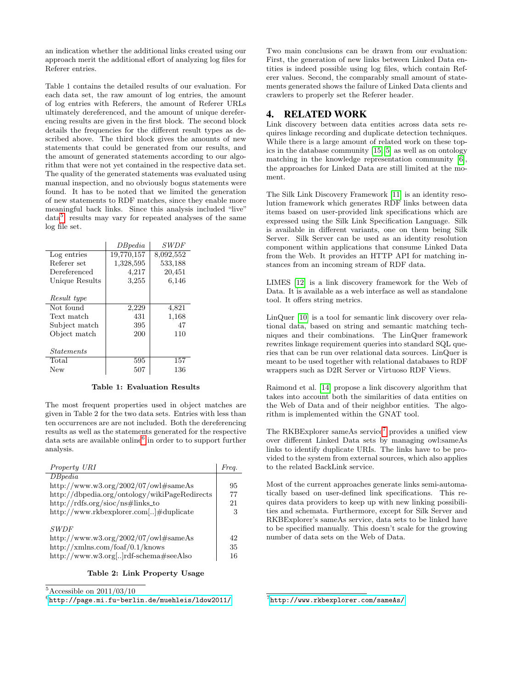an indication whether the additional links created using our approach merit the additional effort of analyzing log files for Referer entries.

Table 1 contains the detailed results of our evaluation. For each data set, the raw amount of log entries, the amount of log entries with Referers, the amount of Referer URLs ultimately dereferenced, and the amount of unique dereferencing results are given in the first block. The second block details the frequencies for the different result types as described above. The third block gives the amounts of new statements that could be generated from our results, and the amount of generated statements according to our algorithm that were not yet contained in the respective data set. The quality of the generated statements was evaluated using manual inspection, and no obviously bogus statements were found. It has to be noted that we limited the generation of new statements to RDF matches, since they enable more meaningful back links. Since this analysis included "live" data<sup>[5](#page-3-1)</sup>, results may vary for repeated analyses of the same log file set.

|                          | DBpedia    | SWDF      |
|--------------------------|------------|-----------|
| Log entries              | 19,770,157 | 8,092,552 |
| Referer set              | 1,328,595  | 533,188   |
| Dereferenced             | 4,217      | 20,451    |
| Unique Results           | 3,255      | 6,146     |
|                          |            |           |
| Result type              |            |           |
| Not found                | 2,229      | 4,821     |
| Text match               | 431        | 1,168     |
| Subject match            | 395        | 47        |
| Object match             | 200        | 110       |
|                          |            |           |
| <i><u>Statements</u></i> |            |           |
| Total                    | 595        | 157       |
| New                      | 507        | 136       |

#### Table 1: Evaluation Results

The most frequent properties used in object matches are given in Table 2 for the two data sets. Entries with less than ten occurrences are are not included. Both the dereferencing results as well as the statements generated for the respective data sets are available online<sup>[6](#page-3-2)</sup> in order to to support further analysis.

| Property URI                                        | Frea. |
|-----------------------------------------------------|-------|
| DBpedia                                             |       |
| http://www.w3.org/2002/07/owl#sameAs                | 95    |
| http://dbpedia.org/ontology/wikiPageRedirects       | 77    |
| $http://rdfs.org/sioc/ns#links_to$                  | 21    |
| http://www.rkbexplorer.com[]#duplicate              | 3     |
| <i>SWDF</i><br>http://www.w3.org/2002/07/owl#sameAs | 42    |
| http://xmlns.com/foaf/0.1/knows                     | 35    |
| http://www.w3.org[]rdf-schema#seeAlso               | 16    |

#### Table 2: Link Property Usage

<span id="page-3-1"></span> $5$ Accessible on 2011/03/10

<span id="page-3-2"></span> $<sup>6</sup>$ <http://page.mi.fu-berlin.de/muehleis/ldow2011/></sup>

Two main conclusions can be drawn from our evaluation: First, the generation of new links between Linked Data entities is indeed possible using log files, which contain Referer values. Second, the comparably small amount of statements generated shows the failure of Linked Data clients and crawlers to properly set the Referer header.

### <span id="page-3-0"></span>4. RELATED WORK

Link discovery between data entities across data sets requires linkage recording and duplicate detection techniques. While there is a large amount of related work on these topics in the database community [\[15,](#page-4-13) [5\]](#page-4-14) as well as on ontology matching in the knowledge representation community [\[6\]](#page-4-0), the approaches for Linked Data are still limited at the moment.

The Silk Link Discovery Framework [\[11\]](#page-4-1) is an identity resolution framework which generates RDF links between data items based on user-provided link specifications which are expressed using the Silk Link Specification Language. Silk is available in different variants, one on them being Silk Server. Silk Server can be used as an identity resolution component within applications that consume Linked Data from the Web. It provides an HTTP API for matching instances from an incoming stream of RDF data.

LIMES [\[12\]](#page-4-2) is a link discovery framework for the Web of Data. It is available as a web interface as well as standalone tool. It offers string metrics.

LinQuer [\[10\]](#page-4-3) is a tool for semantic link discovery over relational data, based on string and semantic matching techniques and their combinations. The LinQuer framework rewrites linkage requirement queries into standard SQL queries that can be run over relational data sources. LinQuer is meant to be used together with relational databases to RDF wrappers such as D2R Server or Virtuoso RDF Views.

Raimond et al. [\[14\]](#page-4-15) propose a link discovery algorithm that takes into account both the similarities of data entities on the Web of Data and of their neighbor entities. The algorithm is implemented within the GNAT tool.

The RKBExplorer sameAs service<sup>[7](#page-3-3)</sup> provides a unified view over different Linked Data sets by managing owl:sameAs links to identify duplicate URIs. The links have to be provided to the system from external sources, which also applies to the related BackLink service.

Most of the current approaches generate links semi-automatically based on user-defined link specifications. This requires data providers to keep up with new linking possibilities and schemata. Furthermore, except for Silk Server and RKBExplorer's sameAs service, data sets to be linked have to be specified manually. This doesn't scale for the growing number of data sets on the Web of Data.

<span id="page-3-3"></span>7 <http://www.rkbexplorer.com/sameAs/>